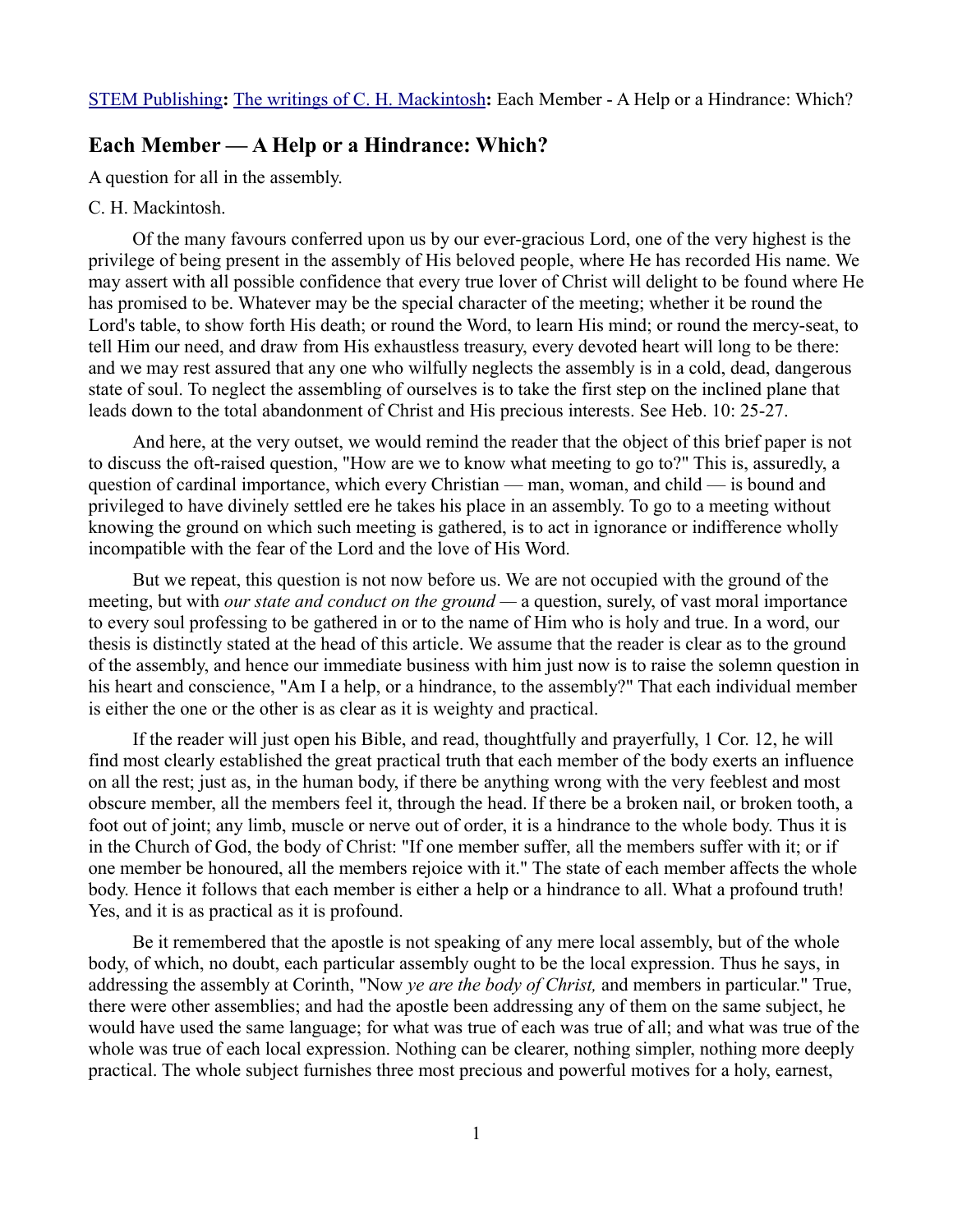## **Each Member — A Help or a Hindrance: Which?**

A question for all in the assembly.

## C. H. Mackintosh.

Of the many favours conferred upon us by our ever-gracious Lord, one of the very highest is the privilege of being present in the assembly of His beloved people, where He has recorded His name. We may assert with all possible confidence that every true lover of Christ will delight to be found where He has promised to be. Whatever may be the special character of the meeting; whether it be round the Lord's table, to show forth His death; or round the Word, to learn His mind; or round the mercy-seat, to tell Him our need, and draw from His exhaustless treasury, every devoted heart will long to be there: and we may rest assured that any one who wilfully neglects the assembly is in a cold, dead, dangerous state of soul. To neglect the assembling of ourselves is to take the first step on the inclined plane that leads down to the total abandonment of Christ and His precious interests. See Heb. 10: 25-27.

And here, at the very outset, we would remind the reader that the object of this brief paper is not to discuss the oft-raised question, "How are we to know what meeting to go to?" This is, assuredly, a question of cardinal importance, which every Christian — man, woman, and child — is bound and privileged to have divinely settled ere he takes his place in an assembly. To go to a meeting without knowing the ground on which such meeting is gathered, is to act in ignorance or indifference wholly incompatible with the fear of the Lord and the love of His Word.

But we repeat, this question is not now before us. We are not occupied with the ground of the meeting, but with *our state and conduct on the ground —* a question, surely, of vast moral importance to every soul professing to be gathered in or to the name of Him who is holy and true. In a word, our thesis is distinctly stated at the head of this article. We assume that the reader is clear as to the ground of the assembly, and hence our immediate business with him just now is to raise the solemn question in his heart and conscience, "Am I a help, or a hindrance, to the assembly?" That each individual member is either the one or the other is as clear as it is weighty and practical.

If the reader will just open his Bible, and read, thoughtfully and prayerfully, 1 Cor. 12, he will find most clearly established the great practical truth that each member of the body exerts an influence on all the rest; just as, in the human body, if there be anything wrong with the very feeblest and most obscure member, all the members feel it, through the head. If there be a broken nail, or broken tooth, a foot out of joint; any limb, muscle or nerve out of order, it is a hindrance to the whole body. Thus it is in the Church of God, the body of Christ: "If one member suffer, all the members suffer with it; or if one member be honoured, all the members rejoice with it." The state of each member affects the whole body. Hence it follows that each member is either a help or a hindrance to all. What a profound truth! Yes, and it is as practical as it is profound.

Be it remembered that the apostle is not speaking of any mere local assembly, but of the whole body, of which, no doubt, each particular assembly ought to be the local expression. Thus he says, in addressing the assembly at Corinth, "Now *ye are the body of Christ,* and members in particular." True, there were other assemblies; and had the apostle been addressing any of them on the same subject, he would have used the same language; for what was true of each was true of all; and what was true of the whole was true of each local expression. Nothing can be clearer, nothing simpler, nothing more deeply practical. The whole subject furnishes three most precious and powerful motives for a holy, earnest,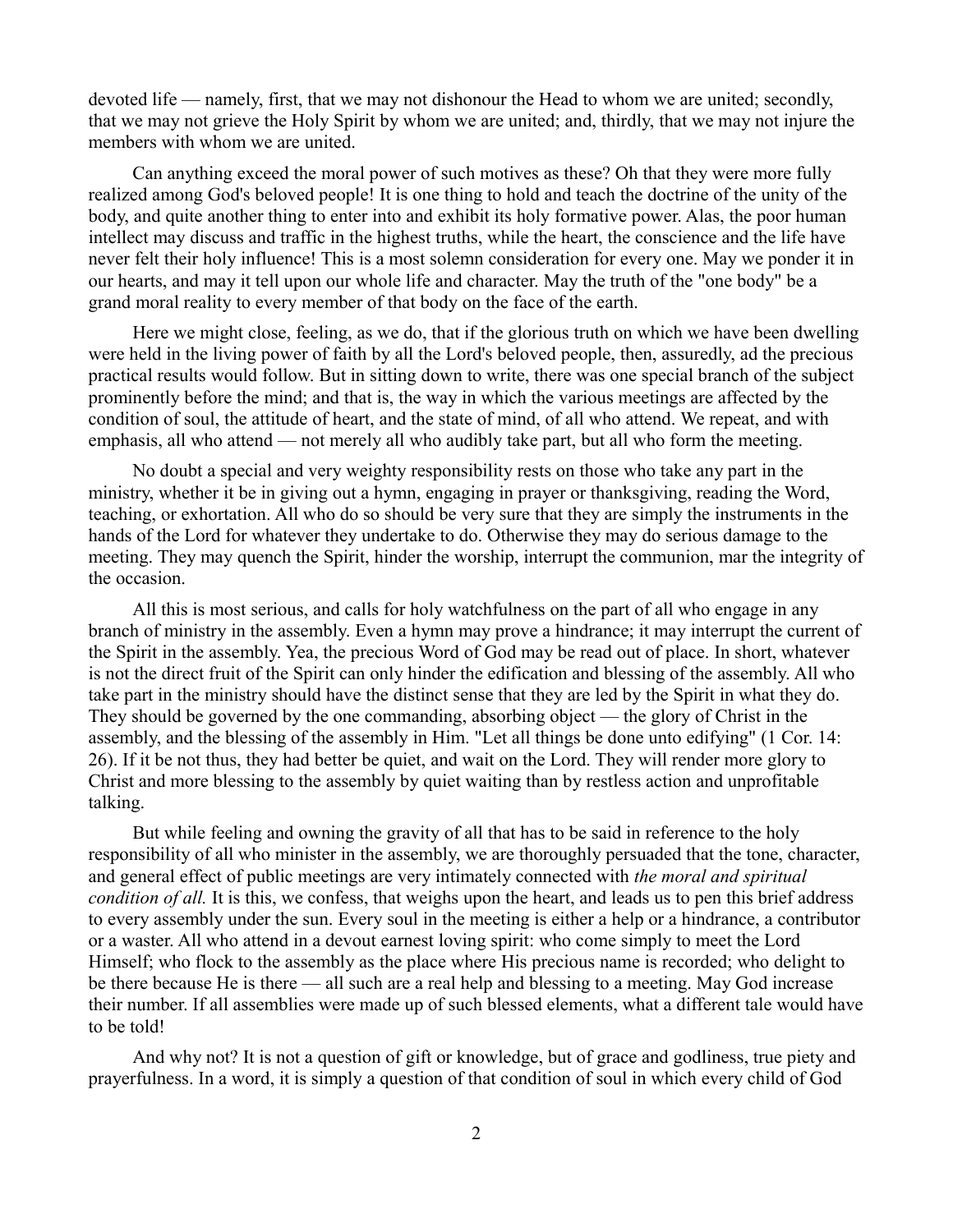devoted life — namely, first, that we may not dishonour the Head to whom we are united; secondly, that we may not grieve the Holy Spirit by whom we are united; and, thirdly, that we may not injure the members with whom we are united.

Can anything exceed the moral power of such motives as these? Oh that they were more fully realized among God's beloved people! It is one thing to hold and teach the doctrine of the unity of the body, and quite another thing to enter into and exhibit its holy formative power. Alas, the poor human intellect may discuss and traffic in the highest truths, while the heart, the conscience and the life have never felt their holy influence! This is a most solemn consideration for every one. May we ponder it in our hearts, and may it tell upon our whole life and character. May the truth of the "one body" be a grand moral reality to every member of that body on the face of the earth.

Here we might close, feeling, as we do, that if the glorious truth on which we have been dwelling were held in the living power of faith by all the Lord's beloved people, then, assuredly, ad the precious practical results would follow. But in sitting down to write, there was one special branch of the subject prominently before the mind; and that is, the way in which the various meetings are affected by the condition of soul, the attitude of heart, and the state of mind, of all who attend. We repeat, and with emphasis, all who attend — not merely all who audibly take part, but all who form the meeting.

No doubt a special and very weighty responsibility rests on those who take any part in the ministry, whether it be in giving out a hymn, engaging in prayer or thanksgiving, reading the Word, teaching, or exhortation. All who do so should be very sure that they are simply the instruments in the hands of the Lord for whatever they undertake to do. Otherwise they may do serious damage to the meeting. They may quench the Spirit, hinder the worship, interrupt the communion, mar the integrity of the occasion.

All this is most serious, and calls for holy watchfulness on the part of all who engage in any branch of ministry in the assembly. Even a hymn may prove a hindrance; it may interrupt the current of the Spirit in the assembly. Yea, the precious Word of God may be read out of place. In short, whatever is not the direct fruit of the Spirit can only hinder the edification and blessing of the assembly. All who take part in the ministry should have the distinct sense that they are led by the Spirit in what they do. They should be governed by the one commanding, absorbing object — the glory of Christ in the assembly, and the blessing of the assembly in Him. "Let all things be done unto edifying" (1 Cor. 14: 26). If it be not thus, they had better be quiet, and wait on the Lord. They will render more glory to Christ and more blessing to the assembly by quiet waiting than by restless action and unprofitable talking.

But while feeling and owning the gravity of all that has to be said in reference to the holy responsibility of all who minister in the assembly, we are thoroughly persuaded that the tone, character, and general effect of public meetings are very intimately connected with *the moral and spiritual condition of all.* It is this, we confess, that weighs upon the heart, and leads us to pen this brief address to every assembly under the sun. Every soul in the meeting is either a help or a hindrance, a contributor or a waster. All who attend in a devout earnest loving spirit: who come simply to meet the Lord Himself; who flock to the assembly as the place where His precious name is recorded; who delight to be there because He is there — all such are a real help and blessing to a meeting. May God increase their number. If all assemblies were made up of such blessed elements, what a different tale would have to be told!

And why not? It is not a question of gift or knowledge, but of grace and godliness, true piety and prayerfulness. In a word, it is simply a question of that condition of soul in which every child of God